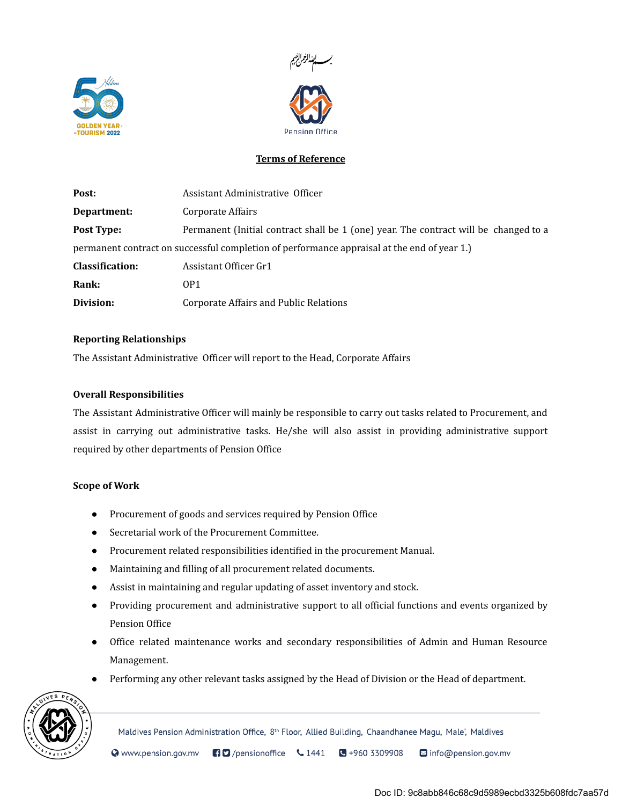



# Terms of Reference

| Post:           | Assistant Administrative Officer                                                            |
|-----------------|---------------------------------------------------------------------------------------------|
| Department:     | Corporate Affairs                                                                           |
| Post Type:      | Permanent (Initial contract shall be 1 (one) year. The contract will be changed to a        |
|                 | permanent contract on successful completion of performance appraisal at the end of year 1.) |
| Classification: | Assistant Officer Gr1                                                                       |
| Rank:           | OP <sub>1</sub>                                                                             |
| Division:       | <b>Corporate Affairs and Public Relations</b>                                               |

## Reporting Relationships

The Assistant Administrative Officer will report to the Head, Corporate Affairs

#### Overall Responsibilities

The Assistant Administrative Officer will mainly be responsible to carry out tasks related to Procurement, and assist in carrying out administrative tasks. He/she will also assist in providing administrative support required by other departments of Pension Office

#### Scope of Work

- Procurement of goods and services required by Pension Office
- Secretarial work of the Procurement Committee.
- Procurement related responsibilities identified in the procurement Manual.
- Maintaining and filling of all procurement related documents.
- Assist in maintaining and regular updating of asset inventory and stock.
- Providing procurement and administrative support to all official functions and events organized by Pension Office
- Office related maintenance works and secondary responsibilities of Admin and Human Resource Management.
- Performing any other relevant tasks assigned by the Head of Division or the Head of department.



Maldives Pension Administration Office, 8<sup>th</sup> Floor, Allied Building, Chaandhanee Magu, Male', Maldives

Www.pension.gov.mv  $\Box$ /pensionoffice  $\cup$  1441  $\bigodot +9603309908$ nfo@pension.gov.mv